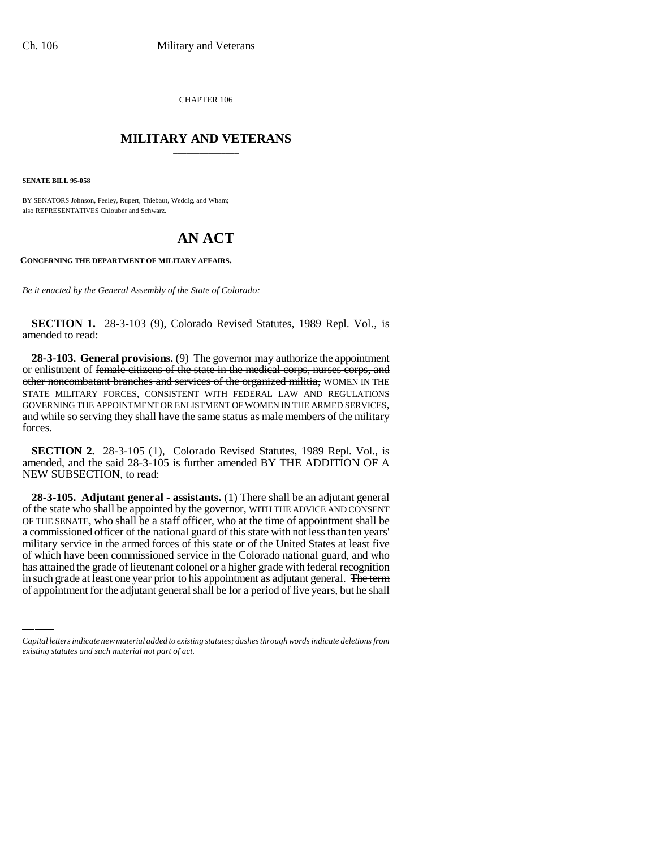CHAPTER 106

## \_\_\_\_\_\_\_\_\_\_\_\_\_\_\_ **MILITARY AND VETERANS** \_\_\_\_\_\_\_\_\_\_\_\_\_\_\_

**SENATE BILL 95-058**

BY SENATORS Johnson, Feeley, Rupert, Thiebaut, Weddig, and Wham; also REPRESENTATIVES Chlouber and Schwarz.

## **AN ACT**

## **CONCERNING THE DEPARTMENT OF MILITARY AFFAIRS.**

*Be it enacted by the General Assembly of the State of Colorado:*

**SECTION 1.** 28-3-103 (9), Colorado Revised Statutes, 1989 Repl. Vol., is amended to read:

**28-3-103. General provisions.** (9) The governor may authorize the appointment or enlistment of female citizens of the state in the medical corps, nurses corps, and other noncombatant branches and services of the organized militia, WOMEN IN THE STATE MILITARY FORCES, CONSISTENT WITH FEDERAL LAW AND REGULATIONS GOVERNING THE APPOINTMENT OR ENLISTMENT OF WOMEN IN THE ARMED SERVICES, and while so serving they shall have the same status as male members of the military forces.

**SECTION 2.** 28-3-105 (1), Colorado Revised Statutes, 1989 Repl. Vol., is amended, and the said 28-3-105 is further amended BY THE ADDITION OF A NEW SUBSECTION, to read:

mintary service in the armed forces of this state or of the United States at least five<br>of which have been commissioned service in the Colorado national guard, and who **28-3-105. Adjutant general - assistants.** (1) There shall be an adjutant general of the state who shall be appointed by the governor, WITH THE ADVICE AND CONSENT OF THE SENATE, who shall be a staff officer, who at the time of appointment shall be a commissioned officer of the national guard of this state with not less than ten years' military service in the armed forces of this state or of the United States at least five has attained the grade of lieutenant colonel or a higher grade with federal recognition in such grade at least one year prior to his appointment as adjutant general. The term of appointment for the adjutant general shall be for a period of five years, but he shall

*Capital letters indicate new material added to existing statutes; dashes through words indicate deletions from existing statutes and such material not part of act.*